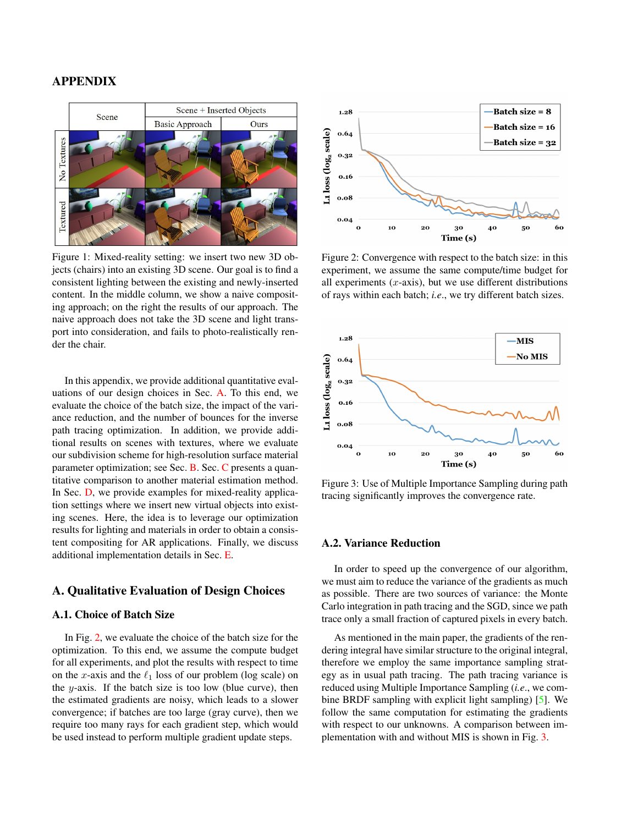## <span id="page-0-4"></span>APPENDIX

<span id="page-0-3"></span>

Figure 1: Mixed-reality setting: we insert two new 3D objects (chairs) into an existing 3D scene. Our goal is to find a consistent lighting between the existing and newly-inserted content. In the middle column, we show a naive compositing approach; on the right the results of our approach. The naive approach does not take the 3D scene and light transport into consideration, and fails to photo-realistically render the chair.

In this appendix, we provide additional quantitative evaluations of our design choices in Sec. [A.](#page-0-0) To this end, we evaluate the choice of the batch size, the impact of the variance reduction, and the number of bounces for the inverse path tracing optimization. In addition, we provide additional results on scenes with textures, where we evaluate our subdivision scheme for high-resolution surface material parameter optimization; see Sec. [B.](#page-1-0) Sec. [C](#page-1-1) presents a quantitative comparison to another material estimation method. In Sec. [D,](#page-1-2) we provide examples for mixed-reality application settings where we insert new virtual objects into existing scenes. Here, the idea is to leverage our optimization results for lighting and materials in order to obtain a consistent compositing for AR applications. Finally, we discuss additional implementation details in Sec. [E.](#page-3-0)

### <span id="page-0-0"></span>A. Qualitative Evaluation of Design Choices

### A.1. Choice of Batch Size

In Fig. [2,](#page-0-1) we evaluate the choice of the batch size for the optimization. To this end, we assume the compute budget for all experiments, and plot the results with respect to time on the x-axis and the  $\ell_1$  loss of our problem (log scale) on the  $y$ -axis. If the batch size is too low (blue curve), then the estimated gradients are noisy, which leads to a slower convergence; if batches are too large (gray curve), then we require too many rays for each gradient step, which would be used instead to perform multiple gradient update steps.

<span id="page-0-1"></span>

Figure 2: Convergence with respect to the batch size: in this experiment, we assume the same compute/time budget for all experiments  $(x$ -axis), but we use different distributions of rays within each batch; *i.e*., we try different batch sizes.

<span id="page-0-2"></span>

Figure 3: Use of Multiple Importance Sampling during path tracing significantly improves the convergence rate.

#### A.2. Variance Reduction

In order to speed up the convergence of our algorithm, we must aim to reduce the variance of the gradients as much as possible. There are two sources of variance: the Monte Carlo integration in path tracing and the SGD, since we path trace only a small fraction of captured pixels in every batch.

As mentioned in the main paper, the gradients of the rendering integral have similar structure to the original integral, therefore we employ the same importance sampling strategy as in usual path tracing. The path tracing variance is reduced using Multiple Importance Sampling (*i.e*., we combine BRDF sampling with explicit light sampling) [\[5\]](#page-3-1). We follow the same computation for estimating the gradients with respect to our unknowns. A comparison between implementation with and without MIS is shown in Fig. [3.](#page-0-2)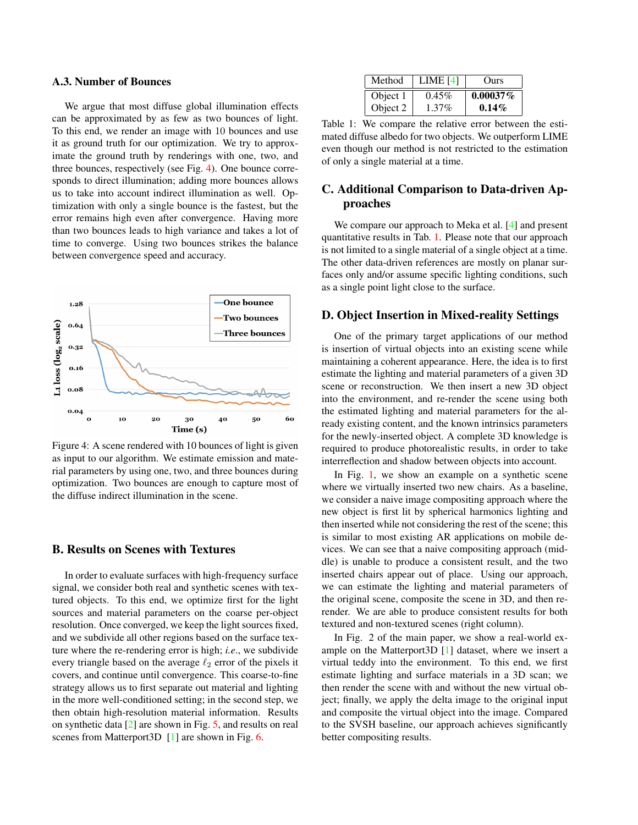#### <span id="page-1-5"></span>A.3. Number of Bounces

We argue that most diffuse global illumination effects can be approximated by as few as two bounces of light. To this end, we render an image with 10 bounces and use it as ground truth for our optimization. We try to approximate the ground truth by renderings with one, two, and three bounces, respectively (see Fig. [4\)](#page-1-3). One bounce corresponds to direct illumination; adding more bounces allows us to take into account indirect illumination as well. Optimization with only a single bounce is the fastest, but the error remains high even after convergence. Having more than two bounces leads to high variance and takes a lot of time to converge. Using two bounces strikes the balance between convergence speed and accuracy.

<span id="page-1-3"></span>

Figure 4: A scene rendered with 10 bounces of light is given as input to our algorithm. We estimate emission and material parameters by using one, two, and three bounces during optimization. Two bounces are enough to capture most of the diffuse indirect illumination in the scene.

### <span id="page-1-0"></span>B. Results on Scenes with Textures

In order to evaluate surfaces with high-frequency surface signal, we consider both real and synthetic scenes with textured objects. To this end, we optimize first for the light sources and material parameters on the coarse per-object resolution. Once converged, we keep the light sources fixed, and we subdivide all other regions based on the surface texture where the re-rendering error is high; *i.e*., we subdivide every triangle based on the average  $\ell_2$  error of the pixels it covers, and continue until convergence. This coarse-to-fine strategy allows us to first separate out material and lighting in the more well-conditioned setting; in the second step, we then obtain high-resolution material information. Results on synthetic data [\[2\]](#page-3-2) are shown in Fig. [5,](#page-2-0) and results on real scenes from Matterport3D [\[1\]](#page-3-3) are shown in Fig. [6.](#page-2-1)

<span id="page-1-4"></span>

| Method   | LIME $[4]$ | <b>Ours</b> |
|----------|------------|-------------|
| Object 1 | $0.45\%$   | $0.00037\%$ |
| Object 2 | $1.37\%$   | $0.14\%$    |

Table 1: We compare the relative error between the estimated diffuse albedo for two objects. We outperform LIME even though our method is not restricted to the estimation of only a single material at a time.

# <span id="page-1-1"></span>C. Additional Comparison to Data-driven Approaches

We compare our approach to Meka et al. [\[4\]](#page-3-4) and present quantitative results in Tab. [1.](#page-1-4) Please note that our approach is not limited to a single material of a single object at a time. The other data-driven references are mostly on planar surfaces only and/or assume specific lighting conditions, such as a single point light close to the surface.

## <span id="page-1-2"></span>D. Object Insertion in Mixed-reality Settings

One of the primary target applications of our method is insertion of virtual objects into an existing scene while maintaining a coherent appearance. Here, the idea is to first estimate the lighting and material parameters of a given 3D scene or reconstruction. We then insert a new 3D object into the environment, and re-render the scene using both the estimated lighting and material parameters for the already existing content, and the known intrinsics parameters for the newly-inserted object. A complete 3D knowledge is required to produce photorealistic results, in order to take interreflection and shadow between objects into account.

In Fig. [1,](#page-0-3) we show an example on a synthetic scene where we virtually inserted two new chairs. As a baseline, we consider a naive image compositing approach where the new object is first lit by spherical harmonics lighting and then inserted while not considering the rest of the scene; this is similar to most existing AR applications on mobile devices. We can see that a naive compositing approach (middle) is unable to produce a consistent result, and the two inserted chairs appear out of place. Using our approach, we can estimate the lighting and material parameters of the original scene, composite the scene in 3D, and then rerender. We are able to produce consistent results for both textured and non-textured scenes (right column).

In Fig. 2 of the main paper, we show a real-world example on the Matterport3D [\[1\]](#page-3-3) dataset, where we insert a virtual teddy into the environment. To this end, we first estimate lighting and surface materials in a 3D scan; we then render the scene with and without the new virtual object; finally, we apply the delta image to the original input and composite the virtual object into the image. Compared to the SVSH baseline, our approach achieves significantly better compositing results.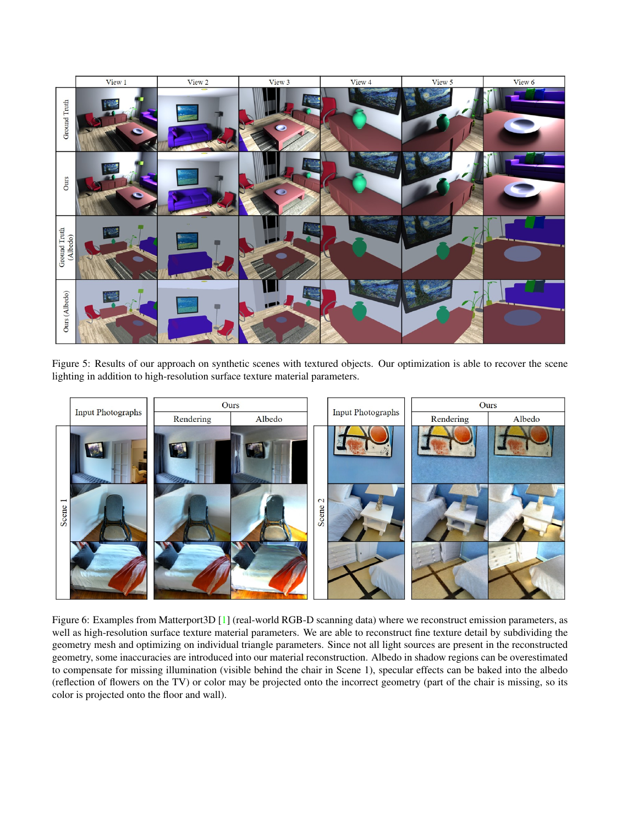<span id="page-2-2"></span><span id="page-2-0"></span>

Figure 5: Results of our approach on synthetic scenes with textured objects. Our optimization is able to recover the scene lighting in addition to high-resolution surface texture material parameters.

<span id="page-2-1"></span>

Figure 6: Examples from Matterport3D [\[1\]](#page-3-3) (real-world RGB-D scanning data) where we reconstruct emission parameters, as well as high-resolution surface texture material parameters. We are able to reconstruct fine texture detail by subdividing the geometry mesh and optimizing on individual triangle parameters. Since not all light sources are present in the reconstructed geometry, some inaccuracies are introduced into our material reconstruction. Albedo in shadow regions can be overestimated to compensate for missing illumination (visible behind the chair in Scene 1), specular effects can be baked into the albedo (reflection of flowers on the TV) or color may be projected onto the incorrect geometry (part of the chair is missing, so its color is projected onto the floor and wall).